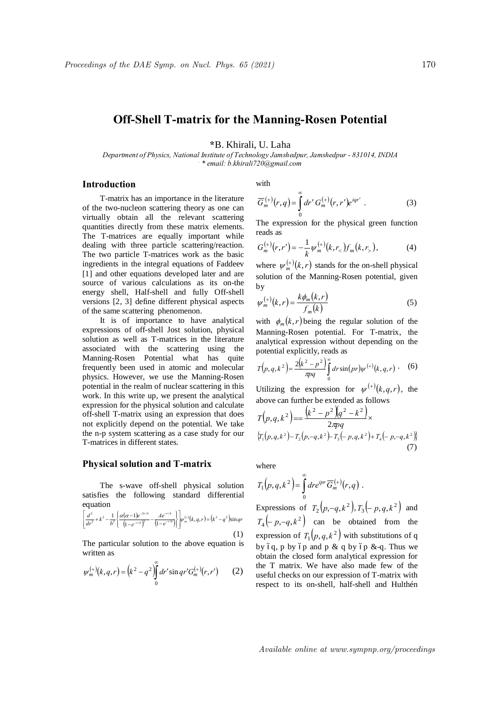# **Off-Shell T-matrix for the Manning-Rosen Potential**

\*B. Khirali, U. Laha

Department of Physics, National Institute of Technology Jamshedpur, Jamshedpur - 831014, INDIA \* email: b.khirali720@gmail.com

## Introduction

T-matrix has an importance in the literature of the two-nucleon scattering theory as one can virtually obtain all the relevant scattering quantities directly from these matrix elements. The T-matrices are equally important while dealing with three particle scattering/reaction. The two particle T-matrices work as the basic ingredients in the integral equations of Faddeev [1] and other equations developed later and are source of various calculations as its on-the energy shell, Half-shell and fully Off-shell versions [2, 3] define different physical aspects of the same scattering phenomenon.

It is of importance to have analytical expressions of off-shell Jost solution, physical solution as well as T-matrices in the literature associated with the scattering using the Manning-Rosen Potential what has quite frequently been used in atomic and molecular physics. However, we use the Manning-Rosen potential in the realm of nuclear scattering in this work. In this write up, we present the analytical expression for the physical solution and calculate off-shell T-matrix using an expression that does not explicitly depend on the potential. We take the n-p system scattering as a case study for our T-matrices in different states.

#### **Physical solution and T-matrix**

The s-wave off-shell physical solution satisfies the following standard differential equation

$$
\left[\frac{d^2}{dr^2} + k^2 - \frac{1}{b^2} \left\{ \frac{\alpha(\alpha - 1)e^{-2r/b}}{\left(1 - e^{-r/b}\right)^2} - \frac{A e^{-r/b}}{\left(1 - e^{-r/b}\right)} \right\} \right] w_m^{(+)}(k, q, r) = (k^2 - q^2) \sin qr
$$
\n(1)

The particular solution to the above equation is written as

$$
\psi_m^{(+)}(k,q,r) = (k^2 - q^2) \int_0^\infty dr' \sin qr' G_m^{(+)}(r,r')
$$
 (2)

with

$$
\overline{G}_m^{(+)}(r,q) = \int_0^\infty dr' \, G_m^{(+)}(r,r') e^{iqr'} \ . \tag{3}
$$

The expression for the physical green function reads as

$$
G_m^{(+)}(r,r') = -\frac{1}{k} \psi_m^{(+)}(k,r_<) f_m(k,r_<)\,,\tag{4}
$$

where  $\psi_m^{(+)}(k,r)$  stands for the on-shell physical solution of the Manning-Rosen potential, given by

$$
\psi_m^{(+)}(k,r) = \frac{k\phi_m(k,r)}{f_m(k)}
$$
(5)

with  $\phi_m(k,r)$  being the regular solution of the Manning-Rosen potential. For T-matrix, the analytical expression without depending on the potential explicitly, reads as

$$
T(p,q,k^2) = \frac{2(k^2 - p^2)}{\pi pq} \int_{0}^{\infty} dr \sin(pr) \psi^{(+)}(k,q,r) \ . \tag{6}
$$

Utilizing the expression for  $\psi^{(+)}(k,q,r)$ , the above can further be extended as follows

$$
T(p,q,k^2) = \frac{(k^2 - p^2)(q^2 - k^2)}{2\pi pq} \times
$$
  
\n
$$
\{T_1(p,q,k^2) - T_2(p,-q,k^2) + T_3(-p,q,k^2) + T_4(-p,-q,k^2)\}
$$
\n(7)

where

$$
T_1(p,q,k^2) = \int_0^\infty dr e^{ipr} \overline{G}_m^{(+)}(r,q)
$$
.  
\nExpressions of  $T_2(p,-q,k^2), T_3(-p,q,k^2)$  and  
\n $T_4(-p,-q,k^2)$  can be obtained from the  
\nexpression of  $T_1(p,q,k^2)$  with substitutions of q  
\nby 6q, p by 6p and p & q by 6p & q. Thus we  
\nobtain the closed form analytical expression for  
\nthe T matrix. We have also made few of the  
\nuseful checks on our expression of T-matrix with  
\nrespect to its on-shell, half-shell and Hulthén

Available online at www.sympnp.org/proceedings